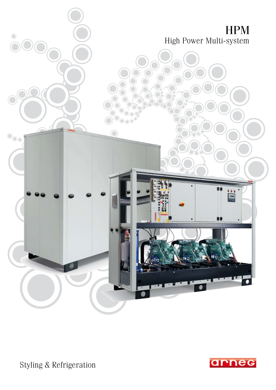

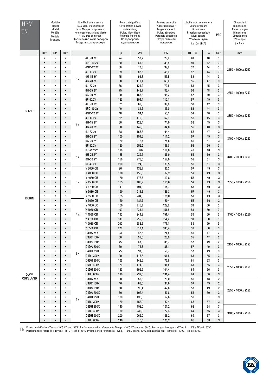| <b>HPM</b><br>TN       | Modello<br>Model<br>Model<br>Modèle<br>Modelo<br>Модель |                        |                        | N. e Mod. compressore<br>N. & Mod. of compressor<br>N. et Marque compresseur<br>Kompressoranzahl und Marke<br>N. y Marca compresor<br>Количество компресоров<br>Модель компрессора |                                      | Potenza frigorifera<br>Refrigeration power<br>Kålteleistung<br>Puiss. frigorifique<br>Potencia frigorífica<br>Холодопроиз-<br>водительность |                | Potenza assorbita<br>Absorbed power<br>Aufgennomene L.<br>Puiss. absorbée<br>Potencia absorbida<br>Потребляемая<br>мощность | Livello pressione sonora<br>Sound pressure<br>Lärmniveau<br>Pression acoustique<br>Nivel sonoro<br>Уровень шума<br>Lp 10 $m$ dB(A) |          | PED                 | Dimensioni<br><b>Dimensions</b><br>Abmessungen<br><b>Dimensions</b><br><b>Dimensiones</b><br>Размеры<br>LxPxH |
|------------------------|---------------------------------------------------------|------------------------|------------------------|------------------------------------------------------------------------------------------------------------------------------------------------------------------------------------|--------------------------------------|---------------------------------------------------------------------------------------------------------------------------------------------|----------------|-----------------------------------------------------------------------------------------------------------------------------|------------------------------------------------------------------------------------------------------------------------------------|----------|---------------------|---------------------------------------------------------------------------------------------------------------|
|                        | $01*$                                                   | $03*$                  | $04*$                  |                                                                                                                                                                                    |                                      | Hp                                                                                                                                          | kW             | kW                                                                                                                          | $01 - 03$                                                                                                                          | 04       | Cat.                | mm                                                                                                            |
|                        | ٠                                                       | $\bullet$              | $\bullet$              |                                                                                                                                                                                    | 4TC-8.2Y                             | 24                                                                                                                                          | 52,2           | 29,2                                                                                                                        | 48                                                                                                                                 | 40       | 3                   |                                                                                                               |
|                        | $\bullet$                                               | $\bullet$              | $\bullet$              |                                                                                                                                                                                    | 4PC-10.2Y                            | 30                                                                                                                                          | 61,2           | 33,8                                                                                                                        | 50                                                                                                                                 | 42       | 3                   |                                                                                                               |
|                        | ٠                                                       | $\bullet$              | $\bullet$              |                                                                                                                                                                                    | 4NC-12.2Y                            | 36                                                                                                                                          | 70,8           | 39,8                                                                                                                        | 52                                                                                                                                 | 44       | 3                   | 2150 x 1000 x 2250                                                                                            |
|                        | $\bullet$                                               | $\bullet$              | $\bullet$              | 3x                                                                                                                                                                                 | 4J-13.2Y                             | 39                                                                                                                                          | 82,5           | 46,6                                                                                                                        | 52                                                                                                                                 | 44       | 3                   |                                                                                                               |
|                        | $\bullet$<br>$\bullet$                                  | $\bullet$<br>$\bullet$ | $\bullet$<br>$\bullet$ |                                                                                                                                                                                    | 4H-15.2Y                             | 45                                                                                                                                          | 96,3           | 55,5                                                                                                                        | 52                                                                                                                                 | 44<br>47 | 3                   |                                                                                                               |
|                        | ٠                                                       | $\bullet$              | $\bullet$              |                                                                                                                                                                                    | 4G-20.2Y<br>6J-22.2Y                 | 60<br>66                                                                                                                                    | 110,1<br>124,2 | 63,6<br>70,8                                                                                                                | 55<br>53                                                                                                                           | 45       | 3<br>3              |                                                                                                               |
|                        | $\bullet$                                               | $\bullet$              | $\bullet$              |                                                                                                                                                                                    | 6H-25.2Y                             | 75                                                                                                                                          | 143,7          | 83,4                                                                                                                        | 56                                                                                                                                 | 48       | 3                   |                                                                                                               |
|                        | $\bullet$                                               | $\bullet$              | $\bullet$              |                                                                                                                                                                                    | 6G-30.2Y                             | 90                                                                                                                                          | 163,8          | 94,2                                                                                                                        | 57                                                                                                                                 | 49       | 3                   | 2850 x 1000 x 2250                                                                                            |
|                        | $\bullet$                                               | $\bullet$              | $\bullet$              |                                                                                                                                                                                    | 6F-40.2Y                             | 120                                                                                                                                         | 194,4          | 110,1                                                                                                                       | 57                                                                                                                                 | 49       | 3                   |                                                                                                               |
|                        | $\bullet$                                               | $\bullet$              | $\bullet$              |                                                                                                                                                                                    | 4TC-8.2Y                             | 32                                                                                                                                          | 69,6           | 39,0                                                                                                                        | 50                                                                                                                                 | 42       | 3                   |                                                                                                               |
|                        | $\bullet$                                               | $\bullet$              | $\bullet$              |                                                                                                                                                                                    | 4PC-10.2Y                            | 40                                                                                                                                          | 81,6           | 45,0                                                                                                                        | 52                                                                                                                                 | 44       | 3                   |                                                                                                               |
| <b>BITZER</b>          | $\bullet$                                               | $\bullet$              | $\bullet$              |                                                                                                                                                                                    | 4NC-12.2Y                            | 48                                                                                                                                          | 94,4           | 53,1                                                                                                                        | 54                                                                                                                                 | 46       | 3                   |                                                                                                               |
|                        | $\bullet$                                               | $\bullet$              | $\bullet$              |                                                                                                                                                                                    | 4J-13.2Y                             | 52                                                                                                                                          | 110,0          | 62,1                                                                                                                        | 53                                                                                                                                 | 45       | 3                   | 2850 x 1000 x 2250                                                                                            |
|                        | ٠                                                       | $\bullet$              | $\bullet$              | 4 x                                                                                                                                                                                | 4H-15.2Y                             | 60                                                                                                                                          | 128,4          | 74,0                                                                                                                        | 53                                                                                                                                 | 45       | 3                   |                                                                                                               |
|                        | $\bullet$                                               | $\bullet$              | $\bullet$              |                                                                                                                                                                                    | 4G-20.2Y                             | 80                                                                                                                                          | 146,8          | 84,8                                                                                                                        | 56                                                                                                                                 | 48       | 3                   | 3400 x 1000 x 2250                                                                                            |
|                        | $\bullet$                                               | $\bullet$              | $\bullet$              |                                                                                                                                                                                    | 6J-22.2Y                             | 88                                                                                                                                          | 165,6          | 94,4                                                                                                                        | 55                                                                                                                                 | 47       | 3                   |                                                                                                               |
|                        | $\bullet$                                               | $\bullet$              | $\bullet$              |                                                                                                                                                                                    | 6H-25.2Y                             | 100                                                                                                                                         | 191,6          | 111,2                                                                                                                       | 57                                                                                                                                 | 49       | 3                   |                                                                                                               |
|                        | $\bullet$                                               | $\bullet$              | $\bullet$              |                                                                                                                                                                                    | 6G-30.2Y                             | 120                                                                                                                                         | 218,4          | 125,6                                                                                                                       | 59                                                                                                                                 | 51       | 3                   |                                                                                                               |
|                        | $\bullet$                                               | $\bullet$              | $\bullet$              |                                                                                                                                                                                    | 6F-40.2Y                             | 160                                                                                                                                         | 259,2          | 146,8                                                                                                                       | 58                                                                                                                                 | 50       | 3                   |                                                                                                               |
|                        | $\bullet$                                               | $\bullet$<br>$\bullet$ | $\bullet$              | 5x                                                                                                                                                                                 | 6J-22.22Y<br>6H-25.2Y                | 110<br>125                                                                                                                                  | 207<br>239,5   | 118,0<br>139,0                                                                                                              | 48<br>58                                                                                                                           | 40<br>50 | 3<br>3              | 3400 x 1000 x 2250                                                                                            |
|                        | $\bullet$<br>$\bullet$                                  | $\bullet$              | $\bullet$<br>$\bullet$ |                                                                                                                                                                                    | 6G-30.2Y                             | 150                                                                                                                                         | 273,0          | 157,0                                                                                                                       | 59                                                                                                                                 | 51       | 3                   |                                                                                                               |
|                        | $\bullet$                                               | $\bullet$              | $\bullet$              |                                                                                                                                                                                    | 6F-40.2Y                             | 200                                                                                                                                         | 324,0          | 183,5                                                                                                                       | 59                                                                                                                                 | 51       | 3                   |                                                                                                               |
|                        | $\bullet$                                               | $\bullet$              | $\bullet$              | 3x                                                                                                                                                                                 | Y 3060 CB                            | 90                                                                                                                                          | 138,7          | 90,3                                                                                                                        | 57                                                                                                                                 | 49       | 3                   |                                                                                                               |
|                        | $\bullet$                                               | $\bullet$              | $\bullet$              |                                                                                                                                                                                    | Y 4060 CC                            | 120                                                                                                                                         | 159,9          | 97,2                                                                                                                        | 57                                                                                                                                 | 49       | 3                   | 2850 x 1000 x 2250                                                                                            |
|                        | $\bullet$                                               | $\bullet$              | $\bullet$              |                                                                                                                                                                                    | Y 4060 CB                            | 120                                                                                                                                         | 178,8          | 113,8                                                                                                                       | 57                                                                                                                                 | 49       | 3                   |                                                                                                               |
|                        | $\bullet$                                               | $\bullet$              | $\bullet$              |                                                                                                                                                                                    | Y 4560 CB                            | 135                                                                                                                                         | 183,7          | 113,6                                                                                                                       | 57                                                                                                                                 | 49       | 3                   |                                                                                                               |
|                        | $\bullet$                                               | $\bullet$              | $\bullet$              |                                                                                                                                                                                    | Y 4780 CB                            | 141                                                                                                                                         | 191,3          | 115,7                                                                                                                       | 57                                                                                                                                 | 49       | 3                   |                                                                                                               |
|                        | $\bullet$                                               | $\bullet$              | $\bullet$              |                                                                                                                                                                                    | Y 5080 CB                            | 150                                                                                                                                         | 211,9          | 128,3                                                                                                                       | 57                                                                                                                                 | 49       | 3                   | 3400 x 1000 x 2250                                                                                            |
| <b>DORIN</b>           | $\bullet$                                               | $\bullet$              | $\bullet$              |                                                                                                                                                                                    | Y 5580 CB                            | 165                                                                                                                                         | 234,3          | 139,0                                                                                                                       | 57                                                                                                                                 | 49       | 3                   |                                                                                                               |
|                        | $\bullet$                                               | $\bullet$              | $\bullet$              |                                                                                                                                                                                    | Y 3060 CB                            | 120                                                                                                                                         | 184,9          | 120,4                                                                                                                       | 58                                                                                                                                 | 50       | 3                   |                                                                                                               |
|                        | ٠                                                       | $\bullet$              | $\bullet$              |                                                                                                                                                                                    | Y 4060 CC                            | 160                                                                                                                                         | 213,2          | 129,6                                                                                                                       | 58                                                                                                                                 | 50       | 3                   |                                                                                                               |
|                        | $\bullet$                                               | $\bullet$              | $\bullet$              |                                                                                                                                                                                    | Y 4060 CB                            | 160                                                                                                                                         | 238,4          | 151,8                                                                                                                       | 58                                                                                                                                 | 50       | 3                   |                                                                                                               |
|                        | $\bullet$                                               | $\bullet$              | $\bullet$              | 4 x                                                                                                                                                                                | Y 4560 CB                            | 180                                                                                                                                         | 244,9          | 151,4                                                                                                                       | 58                                                                                                                                 | 50       | 3                   |                                                                                                               |
|                        | $\bullet$                                               | $\bullet$              | $\bullet$<br>$\bullet$ |                                                                                                                                                                                    | Y 4780 CB                            | 188                                                                                                                                         | 255,0          | 154,2<br>171,1                                                                                                              | 58                                                                                                                                 | 50       | 3                   |                                                                                                               |
|                        | $\bullet$<br>$\bullet$                                  | $\bullet$<br>$\bullet$ | $\bullet$              |                                                                                                                                                                                    | Y 5080 CB<br>Y 5580 CB               | 200<br>220                                                                                                                                  | 282,6<br>312,4 | 185,4                                                                                                                       | 58<br>58                                                                                                                           | 50<br>50 | 3<br>3              |                                                                                                               |
|                        | $\bullet$                                               | $\bullet$              | $\bullet$              |                                                                                                                                                                                    | <b>D3DA 75X</b>                      | 23                                                                                                                                          | 42,6           | 21,8                                                                                                                        | 55                                                                                                                                 | 47       | $\overline{2}$      |                                                                                                               |
|                        | $\bullet$                                               | $\bullet$              | $\bullet$              |                                                                                                                                                                                    | <b>D3DC 100X</b>                     | 30                                                                                                                                          | 51,0           | 26,0                                                                                                                        | 55                                                                                                                                 | 47       | $\overline{2}$      |                                                                                                               |
|                        | ٠                                                       | $\bullet$              | $\bullet$              |                                                                                                                                                                                    | <b>D3DS 150X</b>                     | 45                                                                                                                                          | 67,8           | 35,7                                                                                                                        | 57                                                                                                                                 | 49       | $\overline{2}$      |                                                                                                               |
|                        | $\bullet$                                               | $\bullet$              | $\bullet$              | 3x                                                                                                                                                                                 | D4DA 200X                            | 60                                                                                                                                          | 76,8           | 38,1                                                                                                                        | 57                                                                                                                                 | 49       | 3                   | 2150 x 1000 x 2250                                                                                            |
|                        | ٠                                                       | $\bullet$              | $\bullet$              |                                                                                                                                                                                    | D4DH 250X                            | 75                                                                                                                                          | 97,5           | 50,7                                                                                                                        | 57                                                                                                                                 | 49       | 3                   |                                                                                                               |
|                        | $\bullet$                                               | $\bullet$              | $\bullet$              |                                                                                                                                                                                    | D4DJ 300X                            | $90\,$                                                                                                                                      | 118,5          | 61,8                                                                                                                        | 63                                                                                                                                 | 55       | 3                   |                                                                                                               |
|                        | ٠                                                       | $\bullet$              | $\bullet$              |                                                                                                                                                                                    | <b>D6DH 350X</b>                     | 105                                                                                                                                         | 148,5          | 75,9                                                                                                                        | 61                                                                                                                                 | 53       | 3                   | 2850 x 1000 x 2250                                                                                            |
|                        | $\bullet$                                               | $\bullet$              | $\bullet$              |                                                                                                                                                                                    | <b>D6DJ 400X</b>                     | 120                                                                                                                                         | 174,0          | 91,8                                                                                                                        | 63                                                                                                                                 | 55       | 3                   |                                                                                                               |
|                        | $\bullet$                                               | $\bullet$              | $\bullet$              |                                                                                                                                                                                    | <b>D8DH 500X</b>                     | 150                                                                                                                                         | 199,5          | 104,4                                                                                                                       | 64                                                                                                                                 | 56       | 3                   |                                                                                                               |
| <b>DWM</b><br>COPELAND | $\bullet$                                               | $\bullet$              | $\bullet$              |                                                                                                                                                                                    | <b>D8DJ 600X</b>                     | 180                                                                                                                                         | 232,5          | 131,4                                                                                                                       | 64                                                                                                                                 | 56       | 3                   |                                                                                                               |
|                        | ٠                                                       | $\bullet$              | $\bullet$              |                                                                                                                                                                                    | <b>D3DA 75X</b>                      | 30                                                                                                                                          | 56,8           | 29,0                                                                                                                        | 56                                                                                                                                 | 48       | 2                   |                                                                                                               |
|                        | $\bullet$                                               | $\bullet$              | $\bullet$              |                                                                                                                                                                                    | <b>D3DC 100X</b>                     | 40                                                                                                                                          | 68,0           | 34,6                                                                                                                        | 57                                                                                                                                 | 49       | $\overline{2}$      |                                                                                                               |
|                        | ٠<br>$\bullet$                                          | $\bullet$<br>$\bullet$ | $\bullet$<br>$\bullet$ |                                                                                                                                                                                    | <b>D3DS 150X</b><br><b>D4DA 200X</b> | 60                                                                                                                                          | 90,4           | 47,6                                                                                                                        | 57                                                                                                                                 | 49<br>50 | $\overline{2}$<br>3 | 2850 x 1000 x 2250                                                                                            |
|                        | $\bullet$                                               | $\bullet$              | $\bullet$              |                                                                                                                                                                                    | D4DH 250X                            | 80<br>100                                                                                                                                   | 102,4<br>130,0 | 50,8<br>67,6                                                                                                                | 58<br>59                                                                                                                           | 51       | 3                   |                                                                                                               |
|                        | $\bullet$                                               | $\bullet$              | $\bullet$              | 4 x                                                                                                                                                                                | D4DJ 300X                            | 120                                                                                                                                         | 158,0          | 82,4                                                                                                                        | 65                                                                                                                                 | 57       | 3                   |                                                                                                               |
|                        | $\bullet$                                               | $\bullet$              | $\bullet$              |                                                                                                                                                                                    | <b>D6DH 350X</b>                     | 140                                                                                                                                         | 198,0          | 101,2                                                                                                                       | 62                                                                                                                                 | 54       | 3                   |                                                                                                               |
|                        | $\bullet$                                               | $\bullet$              | $\bullet$              |                                                                                                                                                                                    | <b>D6DJ 400X</b>                     | 160                                                                                                                                         | 232,0          | 122,4                                                                                                                       | 64                                                                                                                                 | 56       | 3                   |                                                                                                               |
|                        | $\bullet$                                               | $\bullet$              | $\bullet$              |                                                                                                                                                                                    | <b>D8DH 500X</b>                     | 200                                                                                                                                         | 266,0          | 139,2                                                                                                                       | 65                                                                                                                                 | 57       | 3                   | 3400 x 1000 x 2250                                                                                            |
|                        | $\bullet$                                               |                        | $\bullet$              |                                                                                                                                                                                    | D8DJ 600X                            | 240                                                                                                                                         | 310,0          | 175,2                                                                                                                       | 66                                                                                                                                 | 58       | 3                   |                                                                                                               |

TN Prestazioni riferite a Tevap: -10°С / Tcond: 50°С. Performance with reference to Tevap.: -10°С / Tcondens.: 50°С. Leistungen bezugen auf TVerd.: -10°С / TKond.: 50°С.<br>Регformances référées à Tévap.: -10°С / Tcond.: 50°

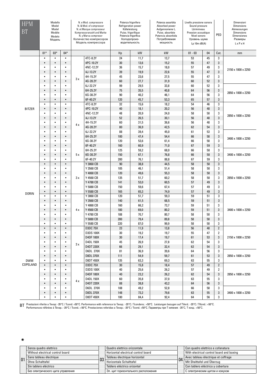| <b>HPM</b><br><b>BT</b> | Modello<br>Model<br>Model<br>Modèle<br>Modelo<br>Модель |                        | N. e Mod. compressore<br>N. & Mod. of compressor<br>N. et Marque compresseur<br>Kompressoranzahl und Marke<br>N. y Marca compresor<br>Количество компресоров<br>Модель компрессора |          | Potenza frigorifera<br>Refrigeration power<br>Kålteleistung<br>Puiss. frigorifique<br>Potencia frigorífica<br>Холодопроиз-<br>водительность |            | Potenza assorbita<br>Absorbed power<br>Aufgennomene L.<br>Puiss. absorbée<br>Potencia absorbida<br>Потребляемая<br>мощность | Livello pressione sonora<br>Sound pressure<br>Lärmniveau<br>Pression acoustique<br>Nivel sonoro<br>Уровень шума<br>Lp 10 $m$ dB(A) |           | PED      | Dimensioni<br><b>Dimensions</b><br>Abmessungen<br><b>Dimensions</b><br><b>Dimensiones</b><br>Размеры<br>LxPxH |                    |
|-------------------------|---------------------------------------------------------|------------------------|------------------------------------------------------------------------------------------------------------------------------------------------------------------------------------|----------|---------------------------------------------------------------------------------------------------------------------------------------------|------------|-----------------------------------------------------------------------------------------------------------------------------|------------------------------------------------------------------------------------------------------------------------------------|-----------|----------|---------------------------------------------------------------------------------------------------------------|--------------------|
|                         | $01*$                                                   | $03*$                  | $04*$                                                                                                                                                                              |          |                                                                                                                                             | kW<br>Hp   |                                                                                                                             | kW                                                                                                                                 | $01 - 03$ | 04       |                                                                                                               | mm                 |
|                         | $\bullet$                                               | $\bullet$              | $\bullet$                                                                                                                                                                          |          | 4TC-8.2Y                                                                                                                                    | 24         | 11,7                                                                                                                        | 13,7                                                                                                                               | 53        | 45       | 3                                                                                                             |                    |
|                         | $\bullet$                                               | $\bullet$              | $\bullet$                                                                                                                                                                          |          | 4PC-10.2Y                                                                                                                                   | 30         | 13,6                                                                                                                        | 15,2                                                                                                                               | 55        | 47       | 3                                                                                                             |                    |
|                         | $\bullet$                                               | ٠                      | $\bullet$                                                                                                                                                                          |          | 4NC-12.2Y                                                                                                                                   | 36         | 15,7                                                                                                                        | 18,0                                                                                                                               | 57        | 49       | 3                                                                                                             | 2150 x 1000 x 2250 |
|                         | $\bullet$                                               | $\bullet$              | $\bullet$                                                                                                                                                                          |          | 4J-13.2Y                                                                                                                                    | 39         | 19,9                                                                                                                        | 22,6                                                                                                                               | 55        | 47       | 3                                                                                                             | 2850 x 1000 x 2250 |
|                         | $\bullet$                                               | $\bullet$              | $\bullet$                                                                                                                                                                          | 3x       | 4H-15.2Y                                                                                                                                    | 45         | 23,6                                                                                                                        | 27,5                                                                                                                               | 55        | 47       | 3                                                                                                             |                    |
|                         | $\bullet$                                               | $\bullet$              | $\bullet$                                                                                                                                                                          |          | 4G-20.2Y                                                                                                                                    | 60         | 27,7                                                                                                                        | 31,9                                                                                                                               | 60        | 52       | 3                                                                                                             |                    |
|                         | $\bullet$                                               | $\bullet$              | $\bullet$                                                                                                                                                                          |          | 6J-22.2Y                                                                                                                                    | 99         | 29,5                                                                                                                        | 33,8                                                                                                                               | 60        | 52       | 3                                                                                                             |                    |
|                         | $\bullet$                                               | $\bullet$              | $\bullet$                                                                                                                                                                          |          | 6H-25.2Y                                                                                                                                    | 75         | 35,5                                                                                                                        | 40,8                                                                                                                               | 64        | 56       | 3                                                                                                             |                    |
|                         | $\bullet$                                               | $\bullet$              | $\bullet$                                                                                                                                                                          |          | 6G-30.2Y                                                                                                                                    | 90         | 40,2                                                                                                                        | 46,1                                                                                                                               | 64        | 56       | 3                                                                                                             |                    |
|                         | $\bullet$                                               | $\bullet$              | $\bullet$                                                                                                                                                                          |          | 6F-40.2Y                                                                                                                                    | 120        | 45,7                                                                                                                        | 53,3                                                                                                                               | 65        | 57       | 3                                                                                                             |                    |
|                         | $\bullet$                                               | $\bullet$              | $\bullet$<br>$\bullet$                                                                                                                                                             |          | 4TC-8.2Y                                                                                                                                    | 32         | 15,6                                                                                                                        | 18,2                                                                                                                               | 54        | 46       | 3                                                                                                             | 2850 x 1000 x 2250 |
| <b>BITZER</b>           | $\bullet$<br>$\bullet$                                  | $\bullet$<br>$\bullet$ | $\bullet$                                                                                                                                                                          |          | 4PC-10.2Y<br>4NC-12.2Y                                                                                                                      | 40         | 18,1                                                                                                                        | 20,2                                                                                                                               | 56        | 48       | 3                                                                                                             |                    |
|                         | $\bullet$                                               | ٠                      | $\bullet$                                                                                                                                                                          |          | 4J-13.2Y                                                                                                                                    | 48<br>52   | 20,9<br>26,5                                                                                                                | 24,0<br>30,1                                                                                                                       | 58<br>56  | 50<br>48 | 3<br>3                                                                                                        |                    |
|                         | $\bullet$                                               | $\bullet$              | $\bullet$                                                                                                                                                                          |          | 4H-15.2Y                                                                                                                                    | 60         |                                                                                                                             | 36,6                                                                                                                               | 56        | 48       | 3                                                                                                             |                    |
|                         | $\bullet$                                               | $\bullet$              | $\bullet$                                                                                                                                                                          | 4x<br>5x | 4G-20.2Y                                                                                                                                    | 80         | 31,5<br>36,9                                                                                                                | 42,5                                                                                                                               | 62        | 54       | 3                                                                                                             |                    |
|                         | $\bullet$                                               | ٠                      | $\bullet$                                                                                                                                                                          |          | 6J-22.2Y                                                                                                                                    | 88         | 39,4                                                                                                                        | 45,0                                                                                                                               | 61        | 53       | 3                                                                                                             | 3400 x 1000 x 2250 |
|                         | $\bullet$                                               | $\bullet$              | $\bullet$                                                                                                                                                                          |          | 6H-25.2Y                                                                                                                                    | 100        | 47,4                                                                                                                        | 54,4                                                                                                                               | 66        | 58       | 3                                                                                                             |                    |
|                         | $\bullet$                                               | $\bullet$              | $\bullet$                                                                                                                                                                          |          | 6G-30.2Y                                                                                                                                    | 120        | 53,6                                                                                                                        | 61,4                                                                                                                               | 66        | 58       | 3                                                                                                             |                    |
|                         | $\bullet$                                               | $\bullet$              | $\bullet$                                                                                                                                                                          |          | 6F-40.2Y                                                                                                                                    | 160        | 60,9                                                                                                                        | 71,0                                                                                                                               | 67        | 59       | 3                                                                                                             |                    |
|                         | $\bullet$                                               | ٠                      | ٠                                                                                                                                                                                  |          | 6H-25.2Y                                                                                                                                    | 125        | 59,2                                                                                                                        | 68,0                                                                                                                               | 66        | 58       | 3                                                                                                             | 3400 x 1000 x 2250 |
|                         | $\bullet$                                               | ٠                      | $\bullet$                                                                                                                                                                          |          | 6G-30.2Y                                                                                                                                    | 150        | 67,1                                                                                                                        | 76,8                                                                                                                               | 66        | 58       | 3                                                                                                             |                    |
|                         | $\bullet$                                               | $\bullet$              | $\bullet$                                                                                                                                                                          |          | 6F-40.2Y                                                                                                                                    | 200        | 76,1                                                                                                                        | 88,8                                                                                                                               | 67        | 59       | 3                                                                                                             |                    |
|                         | $\bullet$                                               | $\bullet$              | $\bullet$                                                                                                                                                                          |          | Y 3060 CB                                                                                                                                   | 90         | 38,8                                                                                                                        | 44,5                                                                                                                               | 58        | 50       | 3                                                                                                             | 2850 x 1000 x 2250 |
|                         | $\bullet$                                               | $\bullet$              | $\bullet$                                                                                                                                                                          | 3x       | Y 3560 CB                                                                                                                                   | 105        | 46,1                                                                                                                        | 51,4                                                                                                                               | 58        | 50       | 3                                                                                                             |                    |
|                         | ٠                                                       | $\bullet$              | $\bullet$                                                                                                                                                                          |          | Y 4060 CB                                                                                                                                   | 120        | 49,6                                                                                                                        | 55,3                                                                                                                               | 58        | 50       | 3                                                                                                             |                    |
|                         | $\bullet$                                               | ٠                      | $\bullet$                                                                                                                                                                          |          | Y 4560 CB                                                                                                                                   | 135        | 51,7                                                                                                                        | 60,2                                                                                                                               | 58        | 50       | 3                                                                                                             |                    |
|                         | $\bullet$                                               | $\bullet$              | $\bullet$                                                                                                                                                                          |          | Y 4780 CB                                                                                                                                   | 141        | 53,0                                                                                                                        | 60,5                                                                                                                               | 57        | 49       | 3                                                                                                             |                    |
|                         | $\bullet$                                               | $\bullet$              | $\bullet$                                                                                                                                                                          |          | Y 5080 CB                                                                                                                                   | 150        | 59,6                                                                                                                        | 67,4                                                                                                                               | 57        | 49       | 3                                                                                                             |                    |
|                         | $\bullet$                                               | $\bullet$              | $\bullet$                                                                                                                                                                          |          | Y 5580 CB                                                                                                                                   | 165        | 65,3                                                                                                                        | 74,9                                                                                                                               | 57        | 49       | 3                                                                                                             |                    |
| <b>DORIN</b>            | $\bullet$                                               | $\bullet$              | $\bullet$                                                                                                                                                                          |          | Y 3060 CB                                                                                                                                   | 120        | 51,7                                                                                                                        | 59,3                                                                                                                               | 59        | 51       | 3                                                                                                             | 3400 x 1000 x 2250 |
|                         | $\bullet$                                               | $\bullet$              | $\bullet$                                                                                                                                                                          |          | Y 3560 CB                                                                                                                                   | 140        | 61,5                                                                                                                        | 68,5                                                                                                                               | 59        | 51       | 3                                                                                                             |                    |
|                         | $\bullet$                                               | $\bullet$              | $\bullet$                                                                                                                                                                          |          | Y 4060 CB                                                                                                                                   | 160        | 66,2                                                                                                                        | 73,7                                                                                                                               | 59        | 51       | 3                                                                                                             |                    |
|                         | $\bullet$                                               | $\bullet$              | $\bullet$                                                                                                                                                                          | 4 x      | Y 4560 CB                                                                                                                                   | 180        | 69,0                                                                                                                        | 80,2                                                                                                                               | 59        | 51       | 3                                                                                                             |                    |
|                         | $\bullet$                                               | ٠                      | $\bullet$                                                                                                                                                                          |          | Y 4780 CB                                                                                                                                   | 188        | 70,7                                                                                                                        | 80,7                                                                                                                               | 58        | 50       | 3                                                                                                             |                    |
|                         | $\bullet$                                               | $\bullet$              | $\bullet$                                                                                                                                                                          |          | Y 5080 CB                                                                                                                                   | 200        | 79,4                                                                                                                        | 89,8                                                                                                                               | 58        | 50       | 3                                                                                                             |                    |
|                         | $\bullet$                                               | $\bullet$              | $\bullet$                                                                                                                                                                          |          | Y 5580 CB                                                                                                                                   | 220        | 87,0                                                                                                                        | 99,9                                                                                                                               | 58        | 50       | 3                                                                                                             |                    |
|                         |                                                         |                        |                                                                                                                                                                                    | 3x       | <b>D3DC 75X</b>                                                                                                                             | 23         | 11,9                                                                                                                        | 13,8                                                                                                                               | 56        | 48       | $\mathbf 2$                                                                                                   | 2150 x 1000 x 2250 |
|                         | $\bullet$                                               | $\bullet$              | $\bullet$                                                                                                                                                                          |          | <b>D3DS 100X</b>                                                                                                                            | 30         | 19,2                                                                                                                        | 19,7                                                                                                                               | 55        | 47       | 2                                                                                                             |                    |
|                         | $\bullet$                                               | $\bullet$              | $\bullet$                                                                                                                                                                          |          | D4DF 100X                                                                                                                                   | $30\,$     | 17,4                                                                                                                        | 19,7                                                                                                                               | 61        | 53       | 3                                                                                                             |                    |
| <b>DWM</b><br>COPELAND  | $\bullet$                                               | ٠                      | $\bullet$                                                                                                                                                                          |          | D4DL 150X                                                                                                                                   | 45         | 26,9                                                                                                                        | 27,8                                                                                                                               | 62        | 54       | 3                                                                                                             |                    |
|                         | $\bullet$                                               | $\bullet$              | $\bullet$                                                                                                                                                                          |          | <b>D4DT 220X</b>                                                                                                                            | 66         | 29,1                                                                                                                        | 32,4                                                                                                                               | 62        | 54       | 3                                                                                                             |                    |
|                         | $\bullet$                                               | ٠                      | $\bullet$                                                                                                                                                                          |          | <b>D6DL 270X</b>                                                                                                                            | 81         | 36,9                                                                                                                        | 39,6                                                                                                                               | 64        | 56       | 3                                                                                                             |                    |
|                         | $\bullet$                                               | $\bullet$              | $\bullet$                                                                                                                                                                          |          | <b>D8DL 370X</b>                                                                                                                            | 111        | 54,9                                                                                                                        | 59,7                                                                                                                               | 61        | 53       | 3                                                                                                             | 2850 x 1000 x 2250 |
|                         | $\bullet$                                               | $\bullet$              | $\bullet$                                                                                                                                                                          |          | <b>D8DT 450X</b>                                                                                                                            | 135        | 63,3                                                                                                                        | 69,3                                                                                                                               | 63        | 55       | 3                                                                                                             |                    |
|                         | $\bullet$                                               | $\bullet$              | $\bullet$                                                                                                                                                                          |          | <b>D3DC 75X</b>                                                                                                                             | 30         | 15,8                                                                                                                        | 18,4                                                                                                                               | 57        | 49       | $\overline{2}$                                                                                                |                    |
|                         | $\bullet$                                               | $\bullet$<br>$\bullet$ | $\bullet$                                                                                                                                                                          |          | <b>D3DS 100X</b>                                                                                                                            | 40         | 25,6                                                                                                                        | 26,2                                                                                                                               | 57        | 49       | $\overline{2}$                                                                                                |                    |
|                         | $\bullet$                                               | ٠                      | $\bullet$                                                                                                                                                                          |          | D4DF 100X                                                                                                                                   | $40\,$     | 23,2                                                                                                                        | 26,2                                                                                                                               | 62        | 54       | 3                                                                                                             | 2850 x 1000 x 2250 |
|                         | $\bullet$<br>$\bullet$                                  | $\bullet$              | $\bullet$<br>$\bullet$                                                                                                                                                             | 4x       | D4DL 150X<br><b>D4DT 220X</b>                                                                                                               | 60         | 35,8                                                                                                                        | 37,0                                                                                                                               | 63        | 55       | 3                                                                                                             |                    |
|                         | $\bullet$                                               | $\bullet$              | $\bullet$                                                                                                                                                                          |          |                                                                                                                                             | 88         | 38,8                                                                                                                        | 43,2                                                                                                                               | 64        | 56       | 3                                                                                                             |                    |
|                         | $\bullet$                                               | $\bullet$              | $\bullet$                                                                                                                                                                          |          | <b>D6DL 270X</b><br><b>D8DL 370X</b>                                                                                                        | 108        | 49,2                                                                                                                        | 52,8                                                                                                                               | 66        | 58       | 3                                                                                                             |                    |
|                         | $\bullet$                                               | ٠                      | $\bullet$                                                                                                                                                                          |          | <b>D8DT 450X</b>                                                                                                                            | 148<br>180 | 73,2<br>84,4                                                                                                                | 79,6<br>92,4                                                                                                                       | 63<br>64  | 55<br>56 | 3<br>3                                                                                                        | 3400 x 1000 x 2250 |
|                         |                                                         |                        |                                                                                                                                                                                    |          |                                                                                                                                             |            |                                                                                                                             |                                                                                                                                    |           |          |                                                                                                               |                    |

ВТ Prestazioni riferite a Tevap: -35°С / Tcond: +50°С. Performance with reference to Tevap.: -35°С / Tcondens.: +50°С. Leistungen bezugen auf TVerd.: -35°С / TKond.: +50°С.<br>Регformances référées à Tévap.: -35°С / Tcond.:

 $\ast$ 

| 01 | Senza quadro elettrico                                                                                   |  | Quadro elettrico orizzontale                                                                                                               |  | Con quadro elettrico e cofanatura        |  |  |  |
|----|----------------------------------------------------------------------------------------------------------|--|--------------------------------------------------------------------------------------------------------------------------------------------|--|------------------------------------------|--|--|--|
|    | Without electrical control board<br>Sans tableau électrique<br>Ohne Schalttafel<br>Sin tablero eléctrico |  | Horizontal electrical control board<br>Tableau électrique horizontal<br>04<br>υJ<br>Horizontale Schalttafel<br>Tablero eléctrico orizontal |  | With electrical control board and boxing |  |  |  |
|    |                                                                                                          |  |                                                                                                                                            |  | Avec tableau électrique et coffrage      |  |  |  |
|    |                                                                                                          |  |                                                                                                                                            |  | Mit Shalttafel und Überzug               |  |  |  |
|    |                                                                                                          |  |                                                                                                                                            |  | Con tablero eléctrico y cobertura        |  |  |  |
|    | Без электрического щита управления                                                                       |  | Эл. щит горизонтального расположения                                                                                                       |  | С электрическим щитом и кожухом          |  |  |  |